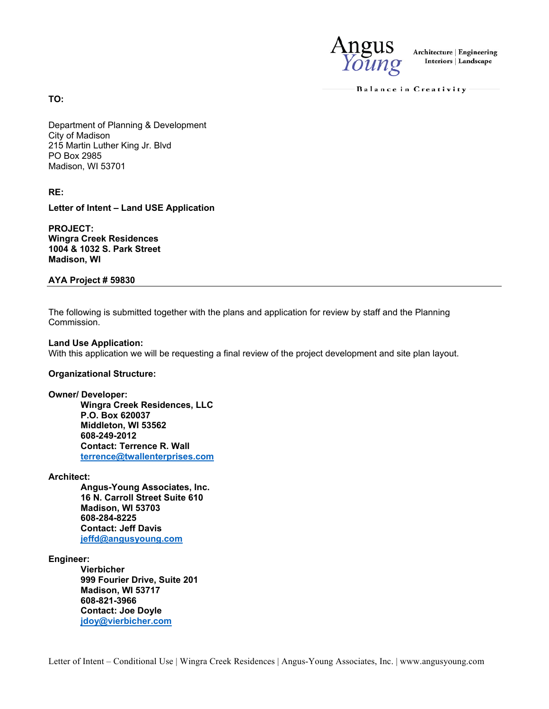

**Architecture | Engineering Interiors | Landscape** 

Balance in Creativity

**TO:** 

Department of Planning & Development City of Madison 215 Martin Luther King Jr. Blvd PO Box 2985 Madison, WI 53701

**RE:** 

**Letter of Intent – Land USE Application**

**PROJECT: Wingra Creek Residences 1004 & 1032 S. Park Street Madison, WI** 

**AYA Project # 59830**

The following is submitted together with the plans and application for review by staff and the Planning Commission.

# **Land Use Application:**

With this application we will be requesting a final review of the project development and site plan layout.

# **Organizational Structure:**

**Owner/ Developer:** 

**Wingra Creek Residences, LLC P.O. Box 620037 Middleton, WI 53562 608-249-2012 Contact: Terrence R. Wall terrence@twallenterprises.com**

#### **Architect:**

**Angus-Young Associates, Inc. 16 N. Carroll Street Suite 610 Madison, WI 53703 608-284-8225 Contact: Jeff Davis jeffd@angusyoung.com**

**Engineer:** 

**Vierbicher 999 Fourier Drive, Suite 201 Madison, WI 53717 608-821-3966 Contact: Joe Doyle jdoy@vierbicher.com**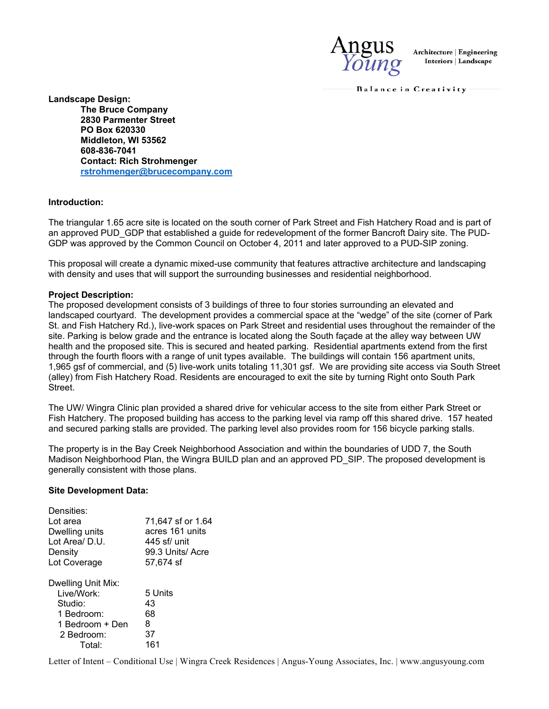

**Architecture | Engineering Interiors | Landscape** 

Balance in Creativity

**Landscape Design: The Bruce Company 2830 Parmenter Street PO Box 620330 Middleton, WI 53562 608-836-7041 Contact: Rich Strohmenger rstrohmenger@brucecompany.com**

# **Introduction:**

The triangular 1.65 acre site is located on the south corner of Park Street and Fish Hatchery Road and is part of an approved PUD\_GDP that established a guide for redevelopment of the former Bancroft Dairy site. The PUD-GDP was approved by the Common Council on October 4, 2011 and later approved to a PUD-SIP zoning.

This proposal will create a dynamic mixed-use community that features attractive architecture and landscaping with density and uses that will support the surrounding businesses and residential neighborhood.

# **Project Description:**

The proposed development consists of 3 buildings of three to four stories surrounding an elevated and landscaped courtyard. The development provides a commercial space at the "wedge" of the site (corner of Park St. and Fish Hatchery Rd.), live-work spaces on Park Street and residential uses throughout the remainder of the site. Parking is below grade and the entrance is located along the South façade at the alley way between UW health and the proposed site. This is secured and heated parking. Residential apartments extend from the first through the fourth floors with a range of unit types available. The buildings will contain 156 apartment units, 1,965 gsf of commercial, and (5) live-work units totaling 11,301 gsf. We are providing site access via South Street (alley) from Fish Hatchery Road. Residents are encouraged to exit the site by turning Right onto South Park Street.

The UW/ Wingra Clinic plan provided a shared drive for vehicular access to the site from either Park Street or Fish Hatchery. The proposed building has access to the parking level via ramp off this shared drive. 157 heated and secured parking stalls are provided. The parking level also provides room for 156 bicycle parking stalls.

The property is in the Bay Creek Neighborhood Association and within the boundaries of UDD 7, the South Madison Neighborhood Plan, the Wingra BUILD plan and an approved PD SIP. The proposed development is generally consistent with those plans.

#### **Site Development Data:**

| Densities:<br>Lot area | 71,647 sf or 1.64 |
|------------------------|-------------------|
| Dwelling units         | acres 161 units   |
| Lot Area/ D.U.         | 445 sf/ unit      |
| Density                | 99.3 Units/Acre   |
| Lot Coverage           | 57,674 sf         |
| Dwelling Unit Mix:     |                   |
| Live/Work:             | 5 Units           |
| Studio:                | 43                |
| 1 Bedroom:             | 68                |
| 1 Bedroom + Den        | 8                 |
| 2 Bedroom:             | 37                |
| Total:                 | 161               |

Letter of Intent – Conditional Use | Wingra Creek Residences | Angus-Young Associates, Inc. | www.angusyoung.com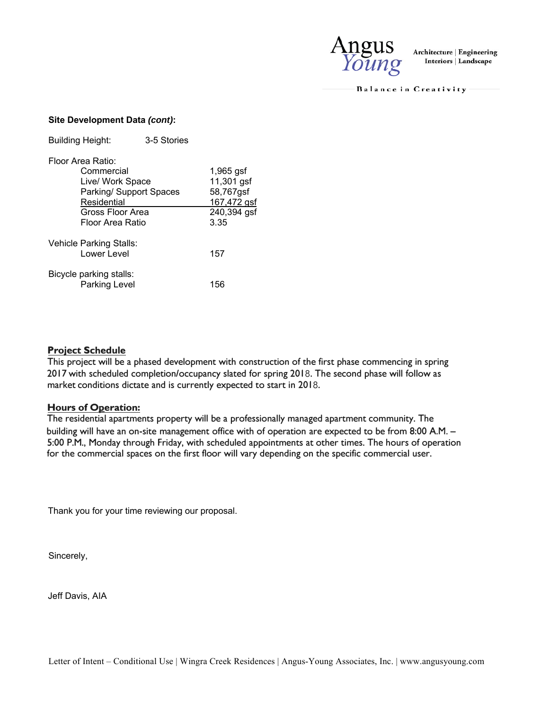

Balance in Creativity

# **Site Development Data** *(cont)***:**

| <b>Building Height:</b>                                                                                    | 3-5 Stories                    |                                                                              |
|------------------------------------------------------------------------------------------------------------|--------------------------------|------------------------------------------------------------------------------|
| Floor Area Ratio:<br>Commercial<br>Live/ Work Space<br>Residential<br>Gross Floor Area<br>Floor Area Ratio | <b>Parking/ Support Spaces</b> | $1,965$ gsf<br>11,301 gsf<br>58,767gsf<br>167,472 gsf<br>240,394 gsf<br>3.35 |
| Vehicle Parking Stalls:<br>Lower Level<br>Bicycle parking stalls:                                          |                                | 157                                                                          |
| Parking Level                                                                                              |                                | 156                                                                          |

# **Project Schedule**

This project will be a phased development with construction of the first phase commencing in spring 2017 with scheduled completion/occupancy slated for spring 2018. The second phase will follow as market conditions dictate and is currently expected to start in 2018.

# **Hours of Operation:**

The residential apartments property will be a professionally managed apartment community. The building will have an on-site management office with of operation are expected to be from **8:00 AM.** - 5:00 P.M., Monday through Friday, with scheduled appointments at other times. The hours of operation for the commercial spaces on the first floor will vary depending on the specific commercial user.

Thank you for your time reviewing our proposal.

Sincerely,

Jeff Davis, AIA